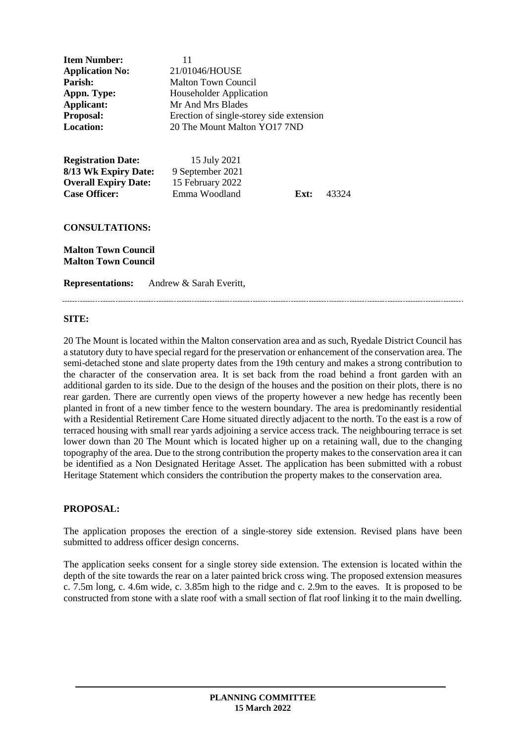| <b>Item Number:</b><br><b>Application No:</b><br>Parish:<br>Appn. Type:<br><b>Applicant:</b><br>Proposal:<br><b>Location:</b> | 11<br>21/01046/HOUSE<br><b>Malton Town Council</b><br><b>Householder Application</b><br>Mr And Mrs Blades<br>Erection of single-storey side extension<br>20 The Mount Malton YO17 7ND |      |       |
|-------------------------------------------------------------------------------------------------------------------------------|---------------------------------------------------------------------------------------------------------------------------------------------------------------------------------------|------|-------|
| <b>Registration Date:</b><br>8/13 Wk Expiry Date:<br><b>Overall Expiry Date:</b><br><b>Case Officer:</b>                      | 15 July 2021<br>9 September 2021<br>15 February 2022<br>Emma Woodland                                                                                                                 | Ext: | 43324 |
| <b>CONSULTATIONS:</b><br><b>Malton Town Council</b><br><b>Malton Town Council</b>                                             |                                                                                                                                                                                       |      |       |
| <b>Representations:</b>                                                                                                       | Andrew & Sarah Everitt,                                                                                                                                                               |      |       |

#### **SITE:**

20 The Mount is located within the Malton conservation area and as such, Ryedale District Council has a statutory duty to have special regard for the preservation or enhancement of the conservation area. The semi-detached stone and slate property dates from the 19th century and makes a strong contribution to the character of the conservation area. It is set back from the road behind a front garden with an additional garden to its side. Due to the design of the houses and the position on their plots, there is no rear garden. There are currently open views of the property however a new hedge has recently been planted in front of a new timber fence to the western boundary. The area is predominantly residential with a Residential Retirement Care Home situated directly adjacent to the north. To the east is a row of terraced housing with small rear yards adjoining a service access track. The neighbouring terrace is set lower down than 20 The Mount which is located higher up on a retaining wall, due to the changing topography of the area. Due to the strong contribution the property makes to the conservation area it can be identified as a Non Designated Heritage Asset. The application has been submitted with a robust Heritage Statement which considers the contribution the property makes to the conservation area.

### **PROPOSAL:**

The application proposes the erection of a single-storey side extension. Revised plans have been submitted to address officer design concerns.

The application seeks consent for a single storey side extension. The extension is located within the depth of the site towards the rear on a later painted brick cross wing. The proposed extension measures c. 7.5m long, c. 4.6m wide, c. 3.85m high to the ridge and c. 2.9m to the eaves. It is proposed to be constructed from stone with a slate roof with a small section of flat roof linking it to the main dwelling.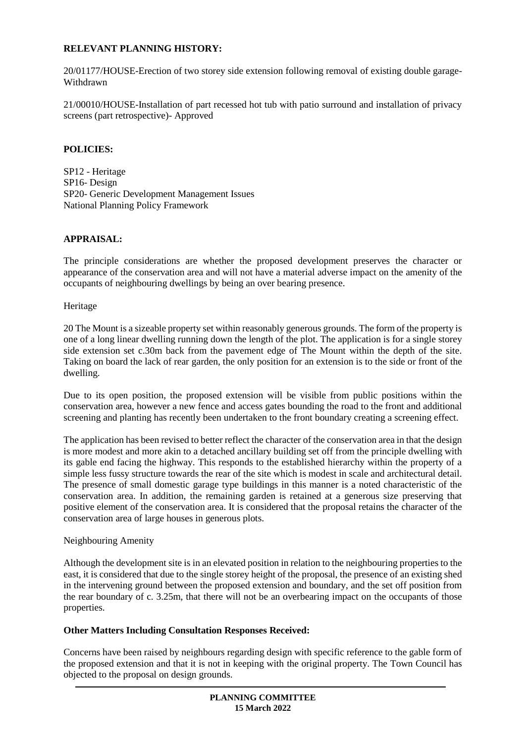## **RELEVANT PLANNING HISTORY:**

20/01177/HOUSE-Erection of two storey side extension following removal of existing double garage-Withdrawn

21/00010/HOUSE-Installation of part recessed hot tub with patio surround and installation of privacy screens (part retrospective)- Approved

## **POLICIES:**

SP12 - Heritage SP16- Design SP20- Generic Development Management Issues National Planning Policy Framework

### **APPRAISAL:**

The principle considerations are whether the proposed development preserves the character or appearance of the conservation area and will not have a material adverse impact on the amenity of the occupants of neighbouring dwellings by being an over bearing presence.

Heritage

20 The Mount is a sizeable property set within reasonably generous grounds. The form of the property is one of a long linear dwelling running down the length of the plot. The application is for a single storey side extension set c.30m back from the pavement edge of The Mount within the depth of the site. Taking on board the lack of rear garden, the only position for an extension is to the side or front of the dwelling.

Due to its open position, the proposed extension will be visible from public positions within the conservation area, however a new fence and access gates bounding the road to the front and additional screening and planting has recently been undertaken to the front boundary creating a screening effect.

The application has been revised to better reflect the character of the conservation area in that the design is more modest and more akin to a detached ancillary building set off from the principle dwelling with its gable end facing the highway. This responds to the established hierarchy within the property of a simple less fussy structure towards the rear of the site which is modest in scale and architectural detail. The presence of small domestic garage type buildings in this manner is a noted characteristic of the conservation area. In addition, the remaining garden is retained at a generous size preserving that positive element of the conservation area. It is considered that the proposal retains the character of the conservation area of large houses in generous plots.

### Neighbouring Amenity

Although the development site is in an elevated position in relation to the neighbouring properties to the east, it is considered that due to the single storey height of the proposal, the presence of an existing shed in the intervening ground between the proposed extension and boundary, and the set off position from the rear boundary of c. 3.25m, that there will not be an overbearing impact on the occupants of those properties.

### **Other Matters Including Consultation Responses Received:**

Concerns have been raised by neighbours regarding design with specific reference to the gable form of the proposed extension and that it is not in keeping with the original property. The Town Council has objected to the proposal on design grounds.